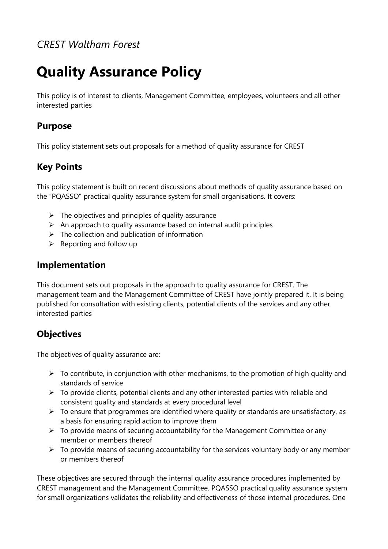## *CREST Waltham Forest*

# **Quality Assurance Policy**

This policy is of interest to clients, Management Committee, employees, volunteers and all other interested parties

#### **Purpose**

This policy statement sets out proposals for a method of quality assurance for CREST

## **Key Points**

This policy statement is built on recent discussions about methods of quality assurance based on the "PQASSO" practical quality assurance system for small organisations. It covers:

- $\triangleright$  The objectives and principles of quality assurance
- $\triangleright$  An approach to quality assurance based on internal audit principles
- $\triangleright$  The collection and publication of information
- $\triangleright$  Reporting and follow up

## **Implementation**

This document sets out proposals in the approach to quality assurance for CREST. The management team and the Management Committee of CREST have jointly prepared it. It is being published for consultation with existing clients, potential clients of the services and any other interested parties

## **Objectives**

The objectives of quality assurance are:

- $\triangleright$  To contribute, in conjunction with other mechanisms, to the promotion of high quality and standards of service
- $\triangleright$  To provide clients, potential clients and any other interested parties with reliable and consistent quality and standards at every procedural level
- $\triangleright$  To ensure that programmes are identified where quality or standards are unsatisfactory, as a basis for ensuring rapid action to improve them
- $\triangleright$  To provide means of securing accountability for the Management Committee or any member or members thereof
- $\triangleright$  To provide means of securing accountability for the services voluntary body or any member or members thereof

These objectives are secured through the internal quality assurance procedures implemented by CREST management and the Management Committee. PQASSO practical quality assurance system for small organizations validates the reliability and effectiveness of those internal procedures. One